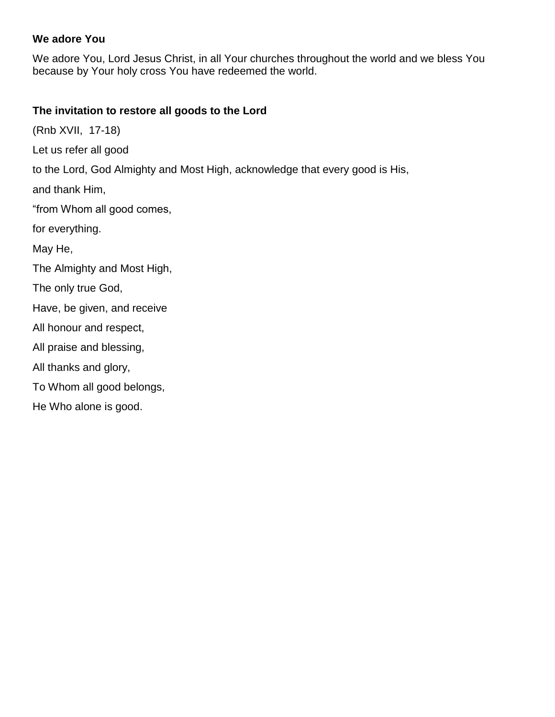### **We adore You**

We adore You, Lord Jesus Christ, in all Your churches throughout the world and we bless You because by Your holy cross You have redeemed the world.

#### **The invitation to restore all goods to the Lord**

(Rnb XVII, 17-18) Let us refer all good to the Lord, God Almighty and Most High, acknowledge that every good is His, and thank Him, "from Whom all good comes, for everything. May He, The Almighty and Most High, The only true God, Have, be given, and receive All honour and respect, All praise and blessing, All thanks and glory, To Whom all good belongs,

He Who alone is good.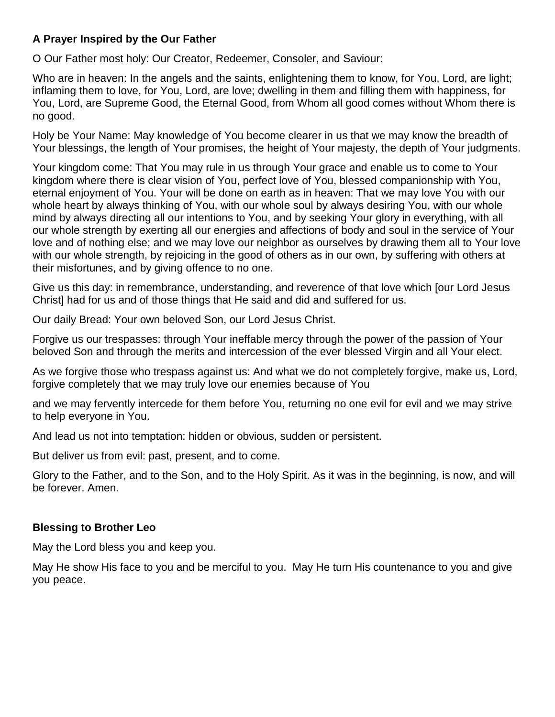## **A Prayer Inspired by the Our Father**

O Our Father most holy: Our Creator, Redeemer, Consoler, and Saviour:

Who are in heaven: In the angels and the saints, enlightening them to know, for You, Lord, are light; inflaming them to love, for You, Lord, are love; dwelling in them and filling them with happiness, for You, Lord, are Supreme Good, the Eternal Good, from Whom all good comes without Whom there is no good.

Holy be Your Name: May knowledge of You become clearer in us that we may know the breadth of Your blessings, the length of Your promises, the height of Your majesty, the depth of Your judgments.

Your kingdom come: That You may rule in us through Your grace and enable us to come to Your kingdom where there is clear vision of You, perfect love of You, blessed companionship with You, eternal enjoyment of You. Your will be done on earth as in heaven: That we may love You with our whole heart by always thinking of You, with our whole soul by always desiring You, with our whole mind by always directing all our intentions to You, and by seeking Your glory in everything, with all our whole strength by exerting all our energies and affections of body and soul in the service of Your love and of nothing else; and we may love our neighbor as ourselves by drawing them all to Your love with our whole strength, by rejoicing in the good of others as in our own, by suffering with others at their misfortunes, and by giving offence to no one.

Give us this day: in remembrance, understanding, and reverence of that love which [our Lord Jesus Christ] had for us and of those things that He said and did and suffered for us.

Our daily Bread: Your own beloved Son, our Lord Jesus Christ.

Forgive us our trespasses: through Your ineffable mercy through the power of the passion of Your beloved Son and through the merits and intercession of the ever blessed Virgin and all Your elect.

As we forgive those who trespass against us: And what we do not completely forgive, make us, Lord, forgive completely that we may truly love our enemies because of You

and we may fervently intercede for them before You, returning no one evil for evil and we may strive to help everyone in You.

And lead us not into temptation: hidden or obvious, sudden or persistent.

But deliver us from evil: past, present, and to come.

Glory to the Father, and to the Son, and to the Holy Spirit. As it was in the beginning, is now, and will be forever. Amen.

# **Blessing to Brother Leo**

May the Lord bless you and keep you.

May He show His face to you and be merciful to you. May He turn His countenance to you and give you peace.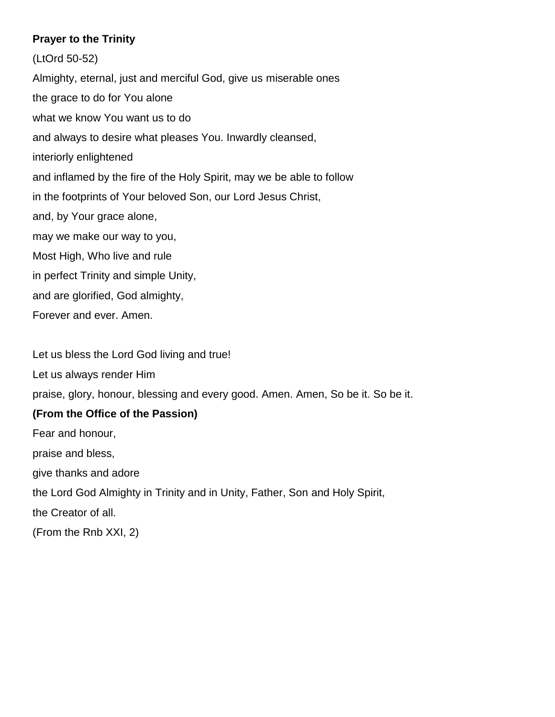## **Prayer to the Trinity**

(LtOrd 50-52) Almighty, eternal, just and merciful God, give us miserable ones the grace to do for You alone what we know You want us to do and always to desire what pleases You. Inwardly cleansed, interiorly enlightened and inflamed by the fire of the Holy Spirit, may we be able to follow in the footprints of Your beloved Son, our Lord Jesus Christ, and, by Your grace alone, may we make our way to you, Most High, Who live and rule in perfect Trinity and simple Unity, and are glorified, God almighty, Forever and ever. Amen.

Let us bless the Lord God living and true! Let us always render Him praise, glory, honour, blessing and every good. Amen. Amen, So be it. So be it. **(From the Office of the Passion)** Fear and honour, praise and bless, give thanks and adore the Lord God Almighty in Trinity and in Unity, Father, Son and Holy Spirit, the Creator of all. (From the Rnb XXI, 2)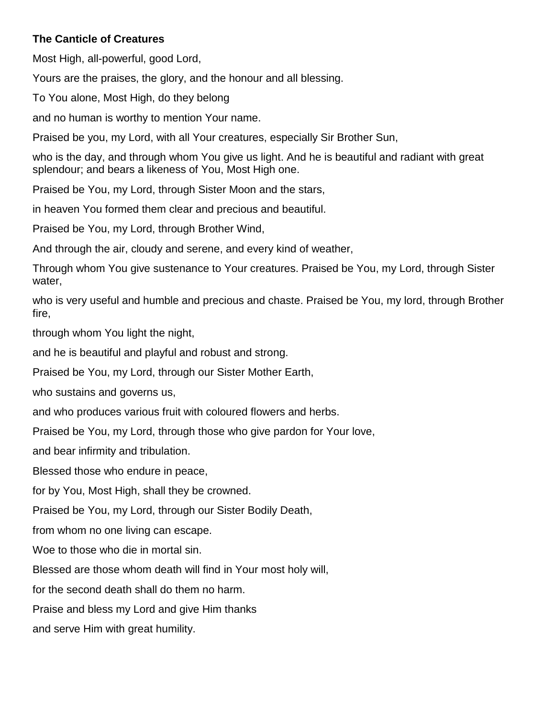# **The Canticle of Creatures**

Most High, all-powerful, good Lord,

Yours are the praises, the glory, and the honour and all blessing.

To You alone, Most High, do they belong

and no human is worthy to mention Your name.

Praised be you, my Lord, with all Your creatures, especially Sir Brother Sun,

who is the day, and through whom You give us light. And he is beautiful and radiant with great splendour; and bears a likeness of You, Most High one.

Praised be You, my Lord, through Sister Moon and the stars,

in heaven You formed them clear and precious and beautiful.

Praised be You, my Lord, through Brother Wind,

And through the air, cloudy and serene, and every kind of weather,

Through whom You give sustenance to Your creatures. Praised be You, my Lord, through Sister water,

who is very useful and humble and precious and chaste. Praised be You, my lord, through Brother fire,

through whom You light the night,

and he is beautiful and playful and robust and strong.

Praised be You, my Lord, through our Sister Mother Earth,

who sustains and governs us,

and who produces various fruit with coloured flowers and herbs.

Praised be You, my Lord, through those who give pardon for Your love,

and bear infirmity and tribulation.

Blessed those who endure in peace,

for by You, Most High, shall they be crowned.

Praised be You, my Lord, through our Sister Bodily Death,

from whom no one living can escape.

Woe to those who die in mortal sin.

Blessed are those whom death will find in Your most holy will,

for the second death shall do them no harm.

Praise and bless my Lord and give Him thanks

and serve Him with great humility.